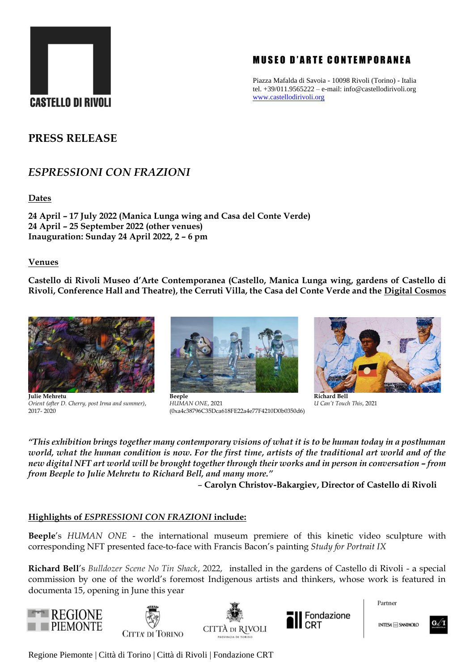

# **MUSEO D'ARTE CONTEMPORANEA**

Piazza Mafalda di Savoia - 10098 Rivoli (Torino) - Italia tel. +39/011.9565222 – e-mail: info@castellodirivoli.org [www.castellodirivoli.org](http://www.castellodirivoli.org/)

# **PRESS RELEASE**

# *ESPRESSIONI CON FRAZIONI*

**Dates**

**24 April – 17 July 2022 (Manica Lunga wing and Casa del Conte Verde) 24 April – 25 September 2022 (other venues) Inauguration: Sunday 24 April 2022, 2 – 6 pm**

#### **Venues**

**Castello di Rivoli Museo d'Arte Contemporanea (Castello, Manica Lunga wing, gardens of Castello di Rivoli, Conference Hall and Theatre), the Cerruti Villa, the Casa del Conte Verde and the [Digital Cosmos](https://www.castellodirivoli.org/en/mostra/cosmodigitale/)**



**Julie Mehretu Beeple Richard Bell**



*Orient (after D. Cherry, post Irma and summer)*, *HUMAN ONE*, 2021 *U Can't Touch This*, 2021 2017- 2020 (0xa4c38796C35Dca618FE22a4e77F4210D0b0350d6)



*"This exhibition brings together many contemporary visions of what it is to be human today in a posthuman world, what the human condition is now. For the first time, artists of the traditional art world and of the new digital NFT art world will be brought together through their works and in person in conversation – from from Beeple to Julie Mehretu to Richard Bell, and many more."*

– **Carolyn Christov-Bakargiev, Director of Castello di Rivoli**

#### **Highlights of** *ESPRESSIONI CON FRAZIONI* **include:**

**Beeple**'s *HUMAN ONE* - the international museum premiere of this kinetic video sculpture with corresponding NFT presented face-to-face with Francis Bacon's painting *Study for Portrait IX*

**Richard Bell**'s *Bulldozer Scene No Tin Shack*, 2022, installed in the gardens of Castello di Rivoli - a special commission by one of the world's foremost Indigenous artists and thinkers, whose work is featured in documenta 15, opening in June this year









Partner

**INTES4 <b>Em** SNNB4OLO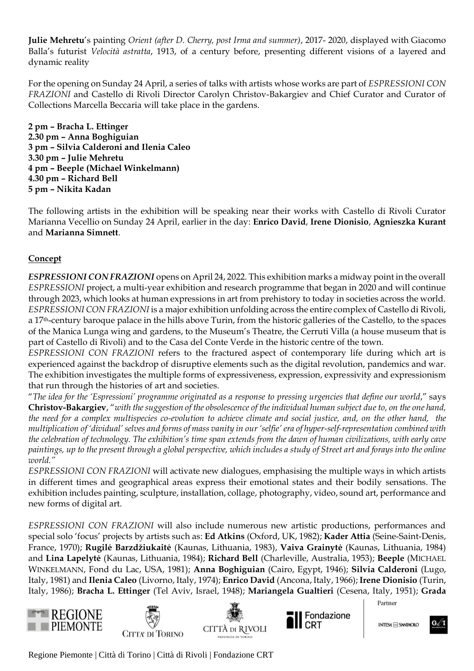**Julie Mehretu**'s painting *Orient (after D. Cherry, post Irma and summer)*, 2017- 2020, displayed with Giacomo Balla's futurist *Velocità astratta*, 1913, of a century before, presenting different visions of a layered and dynamic reality

For the opening on Sunday 24 April, a series of talks with artists whose works are part of *ESPRESSIONI CON FRAZIONI* and Castello di Rivoli Director Carolyn Christov-Bakargiev and Chief Curator and Curator of Collections Marcella Beccaria will take place in the gardens.

**2 pm – Bracha L. Ettinger 2.30 pm – Anna Boghiguian 3 pm – Silvia Calderoni and Ilenia Caleo 3.30 pm – Julie Mehretu 4 pm – Beeple (Michael Winkelmann) 4.30 pm – Richard Bell 5 pm – Nikita Kadan**

The following artists in the exhibition will be speaking near their works with Castello di Rivoli Curator Marianna Vecellio on Sunday 24 April, earlier in the day: **Enrico David**, **Irene Dionisio**, **Agnieszka Kurant** and **Marianna Simnett**.

# **Concept**

*ESPRESSIONI CON FRAZIONI* opens on April 24, 2022. This exhibition marks a midway point in the overall *ESPRESSIONI* project, a multi-year exhibition and research programme that began in 2020 and will continue through 2023, which looks at human expressions in art from prehistory to today in societies across the world. *ESPRESSIONI CON FRAZIONI* is a major exhibition unfolding across the entire complex of Castello di Rivoli, a 17<sup>th</sup>-century baroque palace in the hills above Turin, from the historic galleries of the Castello, to the spaces of the Manica Lunga wing and gardens, to the Museum's Theatre, the Cerruti Villa (a house museum that is part of Castello di Rivoli) and to the Casa del Conte Verde in the historic centre of the town.

*ESPRESSIONI CON FRAZIONI* refers to the fractured aspect of contemporary life during which art is experienced against the backdrop of disruptive elements such as the digital revolution, pandemics and war. The exhibition investigates the multiple forms of expressiveness, expression, expressivity and expressionism that run through the histories of art and societies.

"*The idea for the 'Espressioni' programme originated as a response to pressing urgencies that define our world*," says **Christov-Bakargiev**, "*with the suggestion of the obsolescence of the individual human subject due to, on the one hand, the need for a complex multispecies co-evolution to achieve climate and social justice, and, on the other hand, the multiplication of 'dividual' selves and forms of mass vanity in our 'selfie' era of hyper-self-representation combined with the celebration of technology. The exhibition's time span extends from the dawn of human civilizations, with early cave paintings, up to the present through a global perspective, which includes a study of Street art and forays into the online world."*

*ESPRESSIONI CON FRAZIONI* will activate new dialogues, emphasising the multiple ways in which artists in different times and geographical areas express their emotional states and their bodily sensations. The exhibition includes painting, sculpture, installation, collage, photography, video, sound art, performance and new forms of digital art.

*ESPRESSIONI CON FRAZIONI* will also include numerous new artistic productions, performances and special solo 'focus' projects by artists such as: **Ed Atkins** (Oxford, UK, 1982); **Kader Attia** (Seine-Saint-Denis, France, 1970); **Rugilė Barzdžiukaitė** (Kaunas, Lithuania, 1983), **Vaiva Grainytė** (Kaunas, Lithuania, 1984) and **Lina Lapelytė** (Kaunas, Lithuania, 1984); **Richard Bell** (Charleville, Australia, 1953); **Beeple** (MICHAEL WINKELMANN, Fond du Lac, USA, 1981); **Anna Boghiguian** (Cairo, Egypt, 1946); **Silvia Calderoni** (Lugo, Italy, 1981) and **Ilenia Caleo** (Livorno, Italy, 1974); **Enrico David** (Ancona, Italy, 1966); **Irene Dionisio** (Turin, Italy, 1986); **Bracha L. Ettinger** (Tel Aviv, Israel, 1948); **Mariangela Gualtieri** (Cesena, Italy, 1951); **Grada** 









Partner

**INTES4 <b>Em** SNNP4OLO

 $G \mathscr{N}$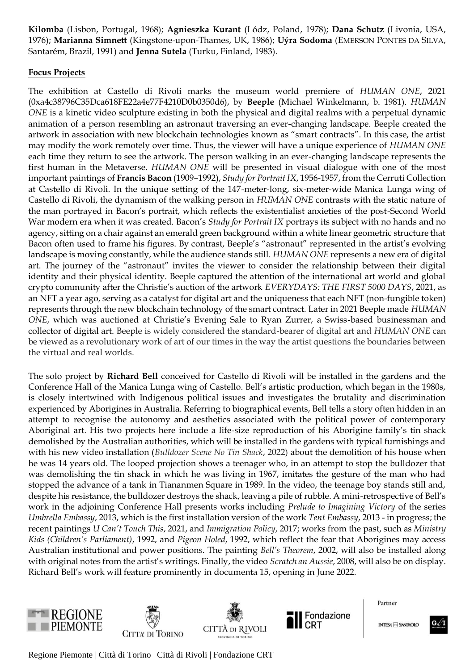**Kilomba** (Lisbon, Portugal, 1968); **Agnieszka Kurant** (Lódz, Poland, 1978); **Dana Schutz** (Livonia, USA, 1976); **Marianna Simnett** (Kingstone-upon-Thames, UK, 1986); **Uýra Sodoma** (EMERSON PONTES DA SILVA, Santarém, Brazil, 1991) and **Jenna Sutela** (Turku, Finland, 1983).

## **Focus Projects**

The exhibition at Castello di Rivoli marks the museum world premiere of *HUMAN ONE*, 2021 (0xa4c38796C35Dca618FE22a4e77F4210D0b0350d6), by **Beeple** (Michael Winkelmann, b. 1981). *HUMAN ONE* is a kinetic video sculpture existing in both the physical and digital realms with a perpetual dynamic animation of a person resembling an astronaut traversing an ever-changing landscape. Beeple created the artwork in association with new blockchain technologies known as "smart contracts". In this case, the artist may modify the work remotely over time. Thus, the viewer will have a unique experience of *HUMAN ONE* each time they return to see the artwork. The person walking in an ever-changing landscape represents the first human in the Metaverse. *HUMAN ONE* will be presented in visual dialogue with one of the most important paintings of **Francis Bacon** (1909–1992), *Study for Portrait IX*, 1956-1957, from the Cerruti Collection at Castello di Rivoli. In the unique setting of the 147-meter-long, six-meter-wide Manica Lunga wing of Castello di Rivoli, the dynamism of the walking person in *HUMAN ONE* contrasts with the static nature of the man portrayed in Bacon's portrait, which reflects the existentialist anxieties of the post-Second World War modern era when it was created. Bacon's *Study for Portrait IX* portrays its subject with no hands and no agency, sitting on a chair against an emerald green background within a white linear geometric structure that Bacon often used to frame his figures. By contrast, Beeple's "astronaut" represented in the artist's evolving landscape is moving constantly, while the audience stands still. *HUMAN ONE* represents a new era of digital art. The journey of the "astronaut" invites the viewer to consider the relationship between their digital identity and their physical identity. Beeple captured the attention of the international art world and global crypto community after the Christie's auction of the artwork *EVERYDAYS: THE FIRST 5000 DAYS*, 2021, as an NFT a year ago, serving as a catalyst for digital art and the uniqueness that each NFT (non-fungible token) represents through the new blockchain technology of the smart contract. Later in 2021 Beeple made *HUMAN ONE*, which was auctioned at Christie's Evening Sale to Ryan Zurrer, a Swiss-based businessman and collector of digital art. Beeple is widely considered the standard-bearer of digital art and *HUMAN ONE* can be viewed as a revolutionary work of art of our times in the way the artist questions the boundaries between the virtual and real worlds.

The solo project by **Richard Bell** conceived for Castello di Rivoli will be installed in the gardens and the Conference Hall of the Manica Lunga wing of Castello. Bell's artistic production, which began in the 1980s, is closely intertwined with Indigenous political issues and investigates the brutality and discrimination experienced by Aborigines in Australia. Referring to biographical events, Bell tells a story often hidden in an attempt to recognise the autonomy and aesthetics associated with the political power of contemporary Aboriginal art. His two projects here include a life-size reproduction of his Aborigine family's tin shack demolished by the Australian authorities, which will be installed in the gardens with typical furnishings and with his new video installation (*Bulldozer Scene No Tin Shack*, 2022) about the demolition of his house when he was 14 years old. The looped projection shows a teenager who, in an attempt to stop the bulldozer that was demolishing the tin shack in which he was living in 1967, imitates the gesture of the man who had stopped the advance of a tank in Tiananmen Square in 1989. In the video, the teenage boy stands still and, despite his resistance, the bulldozer destroys the shack, leaving a pile of rubble. A mini-retrospective of Bell's work in the adjoining Conference Hall presents works including *Prelude to Imagining Victory* of the series *Umbrella Embassy*, 2013, which is the first installation version of the work *Tent Embassy*, 2013 - in progress; the recent paintings *U Can't Touch This*, 2021, and *Immigration Policy*, 2017; works from the past, such as *Ministry Kids (Children's Parliament)*, 1992, and *Pigeon Holed*, 1992, which reflect the fear that Aborigines may access Australian institutional and power positions. The painting *Bell's Theorem*, 2002, will also be installed along with original notes from the artist's writings. Finally, the video *Scratch an Aussie*, 2008, will also be on display. Richard Bell's work will feature prominently in documenta 15, opening in June 2022.









Partner

**INTES4 <b>Em** SNNB4OLO

 $\mathbf{G} \mathscr{N}$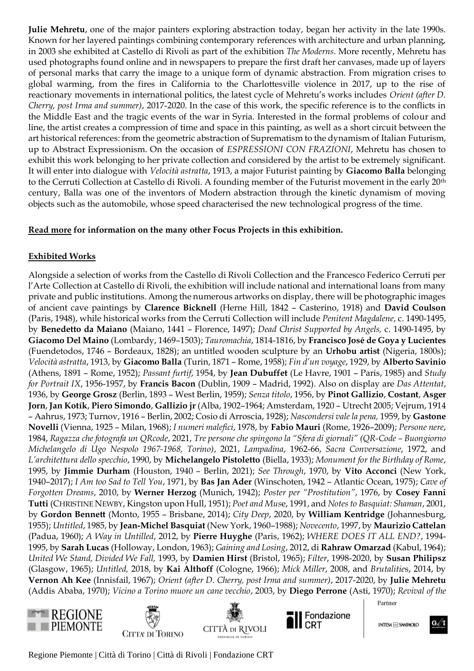**Julie Mehretu**, one of the major painters exploring abstraction today, began her activity in the late 1990s. Known for her layered paintings combining contemporary references with architecture and urban planning, in 2003 she exhibited at Castello di Rivoli as part of the exhibition *The Moderns*. More recently, Mehretu has used photographs found online and in newspapers to prepare the first draft her canvases, made up of layers of personal marks that carry the image to a unique form of dynamic abstraction. From migration crises to global warming, from the fires in California to the Charlottesville violence in 2017, up to the rise of reactionary movements in international politics, the latest cycle of Mehretu's works includes *Orient (after D. Cherry, post Irma and summer)*, 2017-2020. In the case of this work, the specific reference is to the conflicts in the Middle East and the tragic events of the war in Syria. Interested in the formal problems of colour and line, the artist creates a compression of time and space in this painting, as well as a short circuit between the art historical references: from the geometric abstraction of Suprematism to the dynamism of Italian Futurism, up to Abstract Expressionism. On the occasion of *ESPRESSIONI CON FRAZIONI*, Mehretu has chosen to exhibit this work belonging to her private collection and considered by the artist to be extremely significant. It will enter into dialogue with *Velocità astratta*, 1913, a major Futurist painting by **Giacomo Balla** belonging to the Cerruti Collection at Castello di Rivoli. A founding member of the Futurist movement in the early 20<sup>th</sup> century, Balla was one of the inventors of Modern abstraction through the kinetic dynamism of moving objects such as the automobile, whose speed characterised the new technological progress of the time.

# **[Read more](https://www.dropbox.com/s/ny3ummporzuhe60/ESPRESSIONI%20CON%20FRAZIONI_Read%20More.pdf?dl=0) for information on the many other Focus Projects in this exhibition.**

# **Exhibited Works**

Alongside a selection of works from the Castello di Rivoli Collection and the Francesco Federico Cerruti per l'Arte Collection at Castello di Rivoli, the exhibition will include national and international loans from many private and public institutions. Among the numerous artworks on display, there will be photographic images of ancient cave paintings by **Clarence Bicknell** (Herne Hill, 1842 – Casterino, 1918) and **David Coulson** (Paris, 1948), while historical works from the Cerruti Collection will include *Penitent Magdalene*, c. 1490-1495, by **Benedetto da Maiano** (Maiano, 1441 – Florence, 1497); *Dead Christ Supported by Angels,* c. 1490-1495, by **Giacomo Del Maino** (Lombardy, 1469–1503); *Tauromachia*, 1814-1816, by **Francisco José de Goya y Lucientes** (Fuendetodos, 1746 – Bordeaux, 1828); an untitled wooden sculpture by an **Urhobu artist** (Nigeria, 1800s); *Velocità astratta*, 1913, by **Giacomo Balla** (Turin, 1871 – Rome, 1958); *Fin d'un voyage*, 1929, by **Alberto Savinio**  (Athens, 1891 – Rome, 1952); *Passant furtif*, 1954, by **Jean Dubuffet** (Le Havre, 1901 – Paris, 1985) and *Study for Portrait IX*, 1956-1957, by **Francis Bacon** (Dublin, 1909 – Madrid, 1992). Also on display are *Das Attentat*, 1936, by **George Grosz** (Berlin, 1893 – West Berlin, 1959); *Senza titolo*, 1956, by **Pinot Gallizio**, **Costant**, **Asger Jorn**, **Jan Kotík**, **Piero Simondo**, **Gallizio jr** (Alba, 1902–1964; Amsterdam, 1920 – Utrecht 2005; Vejrum, 1914 – Aahrus, 1973; Turnov, 1916 – Berlin, 2002; Cosio di Arroscia, 1928); *Nascondersi vale la pena,* 1959, by **Gastone Novelli** (Vienna, 1925 – Milan, 1968); *I numeri malefici*, 1978, by **Fabio Mauri** (Rome, 1926–2009); *Persone nere*, 1984, *Ragazza che fotografa un QRcode*, 2021, *Tre persone che spingono la "Sfera di giornali" (QR-Code – Buongiorno Michelangelo di Ugo Nespolo 1967-1968, Torino)*, 2021, *Lampadina*, 1962-66, *Sacra Conversazione*, 1972, and *L'architettura dello specchio*, 1990, by **Michelangelo Pistoletto** (Biella, 1933); *Monument for the Birthday of Rome*, 1995, by **Jimmie Durham** (Houston, 1940 – Berlin, 2021); *See Through*, 1970, by **Vito Acconci** (New York, 1940–2017); *I Am too Sad to Tell You*, 1971, by **Bas Jan Ader** (Winschoten, 1942 – Atlantic Ocean, 1975); *Cave of Forgotten Dreams*, 2010, by **Werner Herzog** (Munich, 1942); *Poster per "Prostitution"*, 1976, by **Cosey Fanni Tutti** (CHRISTINE NEWBY, Kingston upon Hull, 1951); *Poet and Mus*e, 1991, and *Notes to Basquiat: Shaman*, 2001, by **Gordon Bennett** (Monto, 1955 – Brisbane, 2014); *City Deep*, 2020, by **William Kentridge** (Johannesburg, 1955); *Untitled*, 1985, by **Jean-Michel Basquiat** (New York, 1960–1988); *Novecento*, 1997, by **Maurizio Cattelan** (Padua, 1960); *A Way in Untilled*, 2012, by **Pierre Huyghe** (Paris, 1962); *WHERE DOES IT ALL END?*, 1994- 1995, by **Sarah Lucas** (Holloway, London, 1963); *Gaining and Losing*, 2012, di **Rahraw Omarzad** (Kabul, 1964); *United We Stand, Divided We Fall,* 1993, by **Damien Hirst** (Bristol, 1965); *Filter*, 1998-2020, by **Susan Philipsz** (Glasgow, 1965); *Untitled,* 2018, by **Kai Althoff** (Cologne, 1966); *Mick Miller*, 2008, and *Brutalitie*s, 2014, by **Vernon Ah Kee** (Innisfail, 1967); *Orient (after D. Cherry, post Irma and summer)*, 2017-2020, by **Julie Mehretu**  (Addis Ababa, 1970); *Vicino a Torino muore un cane vecchio*, 2003, by **Diego Perrone** (Asti, 1970); *Revival of the* 









Partner

**INTES4 <b>Em** SNNB4OLO

 $\mathbf{G} \mathscr{U}$  I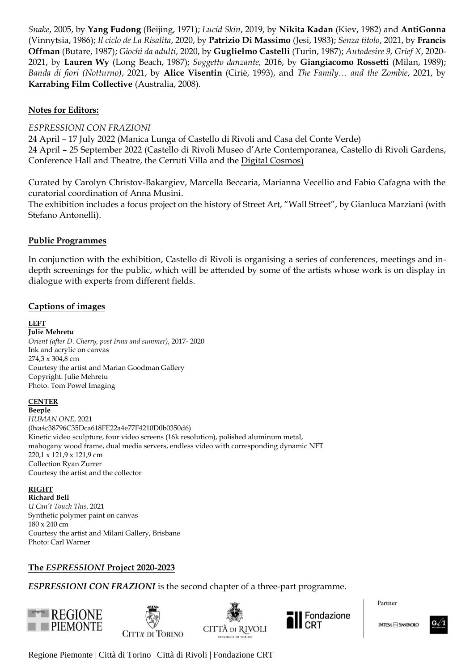*Snake*, 2005, by **Yang Fudong** (Beijing, 1971); *Lucid Skin*, 2019, by **Nikita Kadan** (Kiev, 1982) and **AntiGonna**  (Vinnytsia, 1986); *Il ciclo de La Risalita*, 2020, by **Patrizio Di Massimo** (Jesi, 1983); *Senza titolo*, 2021, by **Francis Offman** (Butare, 1987); *Giochi da adulti*, 2020, by **Guglielmo Castelli** (Turin, 1987); *Autodesire 9, Grief X*, 2020- 2021, by **Lauren Wy** (Long Beach, 1987); *Soggetto danzante,* 2016, by **Giangiacomo Rossetti** (Milan, 1989); *Banda di fiori (Notturno)*, 2021, by **Alice Visentin** (Ciriè, 1993), and *The Family… and the Zombie*, 2021, by **Karrabing Film Collective** (Australia, 2008).

### **Notes for Editors:**

#### *ESPRESSIONI CON FRAZIONI*

24 April – 17 July 2022 (Manica Lunga of Castello di Rivoli and Casa del Conte Verde) 24 April – 25 September 2022 (Castello di Rivoli Museo d'Arte Contemporanea, Castello di Rivoli Gardens, Conference Hall and Theatre, the Cerruti Villa and the [Digital Cosmos\)](https://www.castellodirivoli.org/en/mostra/cosmodigitale/)

Curated by Carolyn Christov-Bakargiev, Marcella Beccaria, Marianna Vecellio and Fabio Cafagna with the curatorial coordination of Anna Musini.

The exhibition includes a focus project on the history of Street Art, "Wall Street", by Gianluca Marziani (with Stefano Antonelli).

#### **Public Programmes**

In conjunction with the exhibition, Castello di Rivoli is organising a series of conferences, meetings and indepth screenings for the public, which will be attended by some of the artists whose work is on display in dialogue with experts from different fields.

#### **Captions of images**

#### **LEFT**

**Julie Mehretu** *Orient (after D. Cherry, post Irma and summer)*, 2017- 2020 Ink and acrylic on canvas 274,3 x 304,8 cm Courtesy the artist and Marian Goodman Gallery Copyright: Julie Mehretu Photo: Tom Powel Imaging

# **CENTER**

**Beeple** *HUMAN ONE*, 2021 (0xa4c38796C35Dca618FE22a4e77F4210D0b0350d6) Kinetic video sculpture, four video screens (16k resolution), polished aluminum metal, mahogany wood frame, dual media servers, endless video with corresponding dynamic NFT 220,1 x 121,9 x 121,9 cm Collection Ryan Zurrer Courtesy the artist and the collector

### **RIGHT**

**Richard Bell** *U Can't Touch This*, 2021 Synthetic polymer paint on canvas 180 x 240 cm Courtesy the artist and Milani Gallery, Brisbane Photo: Carl Warner

### **The** *ESPRESSIONI* **Project 2020-2023**

*ESPRESSIONI CON FRAZIONI* is the second chapter of a three-part programme.









Partner

**INTES4 M SANB4OLO**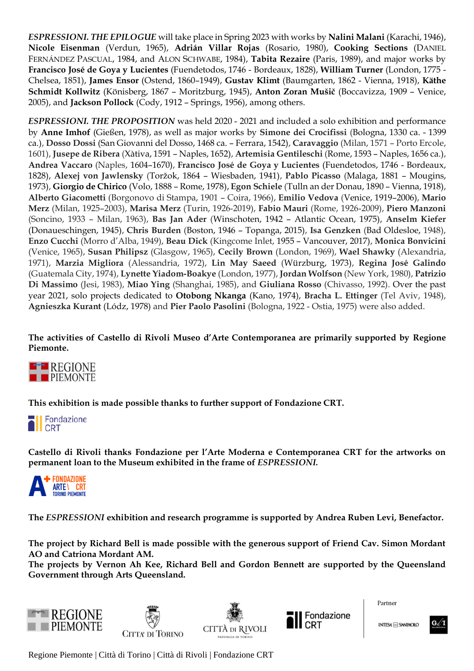*ESPRESSIONI. THE EPILOGUE* will take place in Spring 2023 with works by **Nalini Malani** (Karachi, 1946), **Nicole Eisenman** (Verdun, 1965), **Adrián Villar Rojas** (Rosario, 1980), **Cooking Sections** (DANIEL FERNÁNDEZ PASCUAL, 1984, and ALON SCHWABE, 1984), **Tabita Rezaire** (Paris, 1989), and major works by **Francisco José de Goya y Lucientes** (Fuendetodos, 1746 - Bordeaux, 1828), **William Turner** (London, 1775 - Chelsea, 1851), **James Ensor** (Ostend, 1860–1949), **Gustav Klimt** (Baumgarten, 1862 - Vienna, 1918), **Käthe Schmidt Kollwitz** (Könisberg, 1867 – Moritzburg, 1945), **Anton Zoran Mušič** (Boccavizza, 1909 – Venice, 2005), and **Jackson Pollock** (Cody, 1912 – Springs, 1956), among others.

*ESPRESSIONI. THE PROPOSITION* was held 2020 - 2021 and included a solo exhibition and performance by **Anne Imhof** (Gießen, 1978), as well as major works by **Simone dei Crocifissi** (Bologna, 1330 ca. - 1399 ca.), **Dosso Dossi** (San Giovanni del Dosso, 1468 ca. – Ferrara, 1542), **Caravaggio** (Milan, 1571 – Porto Ercole, 1601), **Jusepe de Ribera** (Xàtiva, 1591 – Naples, 1652), **Artemisia Gentileschi** (Rome, 1593 – Naples, 1656 ca.), **Andrea Vaccaro** (Naples, 1604–1670), **Francisco José de Goya y Lucientes** (Fuendetodos, 1746 - Bordeaux, 1828), **Alexej von Jawlensky** (Toržok, 1864 – Wiesbaden, 1941), **Pablo Picasso** (Malaga, 1881 – Mougins, 1973), **Giorgio de Chirico** (Volo, 1888 – Rome, 1978), **Egon Schiele** (Tulln an der Donau, 1890 – Vienna, 1918), **Alberto Giacometti** (Borgonovo di Stampa, 1901 – Coira, 1966), **Emilio Vedova** (Venice, 1919–2006), **Mario Merz** (Milan, 1925–2003), **Marisa Merz** (Turin, 1926-2019), **Fabio Mauri** (Rome, 1926-2009), **Piero Manzoni** (Soncino, 1933 – Milan, 1963), **Bas Jan Ader** (Winschoten, 1942 – Atlantic Ocean, 1975), **Anselm Kiefer** (Donaueschingen, 1945), **Chris Burden** (Boston, 1946 – Topanga, 2015), **Isa Genzken** (Bad Oldesloe, 1948), **Enzo Cucchi** (Morro d'Alba, 1949), **Beau Dick** (Kingcome Inlet, 1955 – Vancouver, 2017), **Monica Bonvicini** (Venice, 1965), **Susan Philipsz** (Glasgow, 1965), **Cecily Brown** (London, 1969), **Wael Shawky** (Alexandria, 1971), **Marzia Migliora** (Alessandria, 1972), **Lin May Saeed** (Würzburg, 1973), **Regina José Galindo** (Guatemala City, 1974), **Lynette Yiadom-Boakye** (London, 1977), **Jordan Wolfson** (New York, 1980), **Patrizio Di Massimo** (Jesi, 1983), **Miao Ying** (Shanghai, 1985), and **Giuliana Rosso** (Chivasso, 1992). Over the past year 2021, solo projects dedicated to **Otobong Nkanga** (Kano, 1974), **Bracha L. Ettinger** (Tel Aviv, 1948), **Agnieszka Kurant** (Lódz, 1978) and **Pier Paolo Pasolini** (Bologna, 1922 - Ostia, 1975) were also added.

### **The activities of Castello di Rivoli Museo d'Arte Contemporanea are primarily supported by Regione Piemonte.**



**This exhibition is made possible thanks to further support of Fondazione CRT.** 



**Castello di Rivoli thanks Fondazione per l'Arte Moderna e Contemporanea CRT for the artworks on permanent loan to the Museum exhibited in the frame of** *ESPRESSIONI.*



**The** *ESPRESSIONI* **exhibition and research programme is supported by Andrea Ruben Levi, Benefactor.**

**The project by Richard Bell is made possible with the generous support of Friend Cav. Simon Mordant AO and Catriona Mordant AM.**

**The projects by Vernon Ah Kee, Richard Bell and Gordon Bennett are supported by the Queensland Government through Arts Queensland.**









Partner

**INTES4 <b>Em** SNNP4OLO

 $G \mathscr{N}$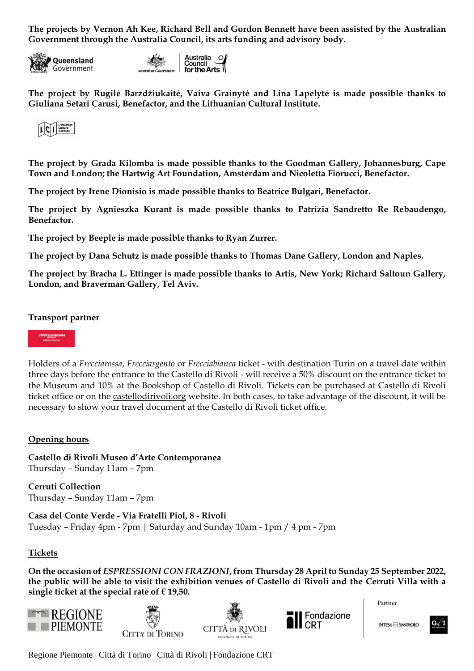**The projects by Vernon Ah Kee, Richard Bell and Gordon Bennett have been assisted by the Australian Government through the Australia Council, its arts funding and advisory body.**





**The project by Rugilė Barzdžiukaitė, Vaiva Grainytė and Lina Lapelytė is made possible thanks to Giuliana Setari Carusi, Benefactor, and the Lithuanian Cultural Institute.**



**The project by Grada Kilomba is made possible thanks to the Goodman Gallery, Johannesburg, Cape Town and London; the Hartwig Art Foundation, Amsterdam and Nicoletta Fiorucci, Benefactor.**

**The project by Irene Dionisio is made possible thanks to Beatrice Bulgari, Benefactor.**

**The project by Agnieszka Kurant is made possible thanks to Patrizia Sandretto Re Rebaudengo, Benefactor.**

**The project by Beeple is made possible thanks to Ryan Zurrer.**

**The project by Dana Schutz is made possible thanks to Thomas Dane Gallery, London and Naples.**

**The project by Bracha L. Ettinger is made possible thanks to Artis, New York; Richard Saltoun Gallery, London, and Braverman Gallery, Tel Aviv.**

# **\_\_\_\_\_\_\_\_\_\_\_\_\_\_\_\_\_\_\_\_\_\_\_ Transport partner**



Holders of a *Frecciarossa*, *Frecciargento* or *Frecciabianca* ticket - with destination Turin on a travel date within three days before the entrance to the Castello di Rivoli - will receive a 50% discount on the entrance ticket to the Museum and 10% at the Bookshop of Castello di Rivoli. Tickets can be purchased at Castello di Rivoli ticket office or on the [castellodirivoli.org](https://www.castellodirivoli.org/en/tickets/) website. In both cases, to take advantage of the discount, it will be necessary to show your travel document at the Castello di Rivoli ticket office.

#### **Opening hours**

**Castello di Rivoli Museo d'Arte Contemporanea** Thursday – Sunday 11am – 7pm

**Cerruti Collection** Thursday – Sunday 11am – 7pm

**Casa del Conte Verde - Via Fratelli Piol, 8 - Rivoli** Tuesday – Friday 4pm - 7pm | Saturday and Sunday 10am - 1pm / 4 pm - 7pm

#### **Tickets**

**On the occasion of** *ESPRESSIONI CON FRAZIONI***, from Thursday 28 April to Sunday 25 September 2022, the public will be able to visit the exhibition venues of Castello di Rivoli and the Cerruti Villa with a single ticket at the special rate of € 19,50.**









Partner

**INTES4 M SANB4OLO** 

 $\mathbf{G\!\!\!\!\!\!/\,}^T$